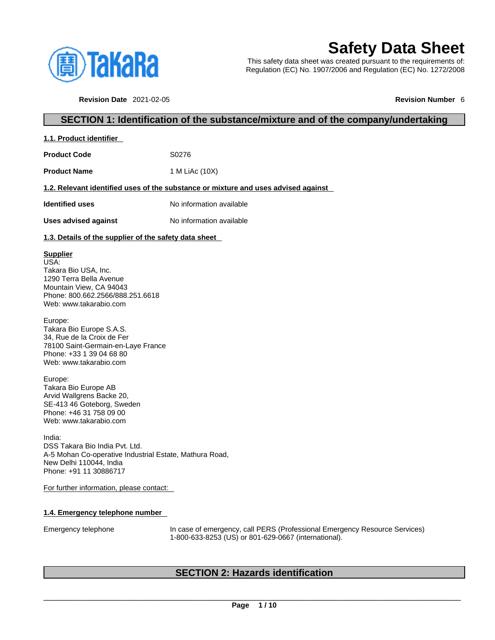

**1.1. Product identifier** 

# **Safety Data Sheet**

This safety data sheet was created pursuant to the requirements of: Regulation (EC) No. 1907/2006 and Regulation (EC) No. 1272/2008

**Revision Date** 2021-02-05 **Revision Number** 6

# **SECTION 1: Identification of the substance/mixture and of the company/undertaking**

| <b>1.1. Product identifier</b>                                                                        |                          |  |
|-------------------------------------------------------------------------------------------------------|--------------------------|--|
| <b>Product Code</b>                                                                                   | S0276                    |  |
| <b>Product Name</b>                                                                                   | 1 M LiAc (10X)           |  |
| 1.2. Relevant identified uses of the substance or mixture and uses advised against                    |                          |  |
| <b>Identified uses</b>                                                                                | No information available |  |
| Uses advised against                                                                                  | No information available |  |
| 1.3. Details of the supplier of the safety data sheet                                                 |                          |  |
| <b>Supplier</b><br>USA:<br>Takara Bio USA, Inc.<br>1290 Terra Bella Avenue<br>Mountain View, CA 94043 |                          |  |

Phone: 800.662.2566/888.251.6618 Web: www.takarabio.com

Europe: Takara Bio Europe S.A.S. 34, Rue de la Croix de Fer 78100 Saint-Germain-en-Laye France Phone: +33 1 39 04 68 80 Web: www.takarabio.com

Europe: Takara Bio Europe AB Arvid Wallgrens Backe 20, SE-413 46 Goteborg, Sweden Phone: +46 31 758 09 00 Web: www.takarabio.com

India: DSS Takara Bio India Pvt. Ltd. A-5 Mohan Co-operative Industrial Estate, Mathura Road, New Delhi 110044, India Phone: +91 11 30886717

For further information, please contact:

# **1.4. Emergency telephone number**

Emergency telephone In case of emergency, call PERS (Professional Emergency Resource Services) 1-800-633-8253 (US) or 801-629-0667 (international).

# **SECTION 2: Hazards identification**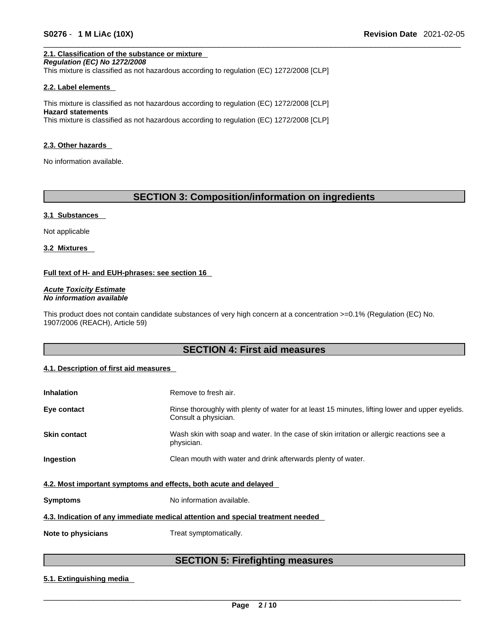# **2.1. Classification of the substance or mixture**

*Regulation (EC) No 1272/2008*  This mixture is classified as not hazardous according to regulation (EC) 1272/2008 [CLP]

# **2.2. Label elements**

This mixture is classified as not hazardous according to regulation (EC) 1272/2008 [CLP] **Hazard statements** This mixture is classified as not hazardous according to regulation (EC) 1272/2008 [CLP]

### **2.3. Other hazards**

No information available.

# **SECTION 3: Composition/information on ingredients**

### **3.1 Substances**

Not applicable

**3.2 Mixtures** 

# **Full text of H- and EUH-phrases: see section 16**

*Acute Toxicity Estimate No information available* 

This product does not contain candidate substances of very high concern at a concentration >=0.1% (Regulation (EC) No. 1907/2006 (REACH), Article 59)

# **SECTION 4: First aid measures**

# **4.1. Description of first aid measures**

| <b>Inhalation</b>                                                               | Remove to fresh air.                                                                                                    |  |  |
|---------------------------------------------------------------------------------|-------------------------------------------------------------------------------------------------------------------------|--|--|
| Eye contact                                                                     | Rinse thoroughly with plenty of water for at least 15 minutes, lifting lower and upper eyelids.<br>Consult a physician. |  |  |
| <b>Skin contact</b>                                                             | Wash skin with soap and water. In the case of skin irritation or allergic reactions see a<br>physician.                 |  |  |
| Ingestion                                                                       | Clean mouth with water and drink afterwards plenty of water.                                                            |  |  |
| 4.2. Most important symptoms and effects, both acute and delayed                |                                                                                                                         |  |  |
| <b>Symptoms</b>                                                                 | No information available.                                                                                               |  |  |
| 4.3. Indication of any immediate medical attention and special treatment needed |                                                                                                                         |  |  |
| Note to physicians                                                              | Treat symptomatically.                                                                                                  |  |  |

# **SECTION 5: Firefighting measures**

# **5.1. Extinguishing media**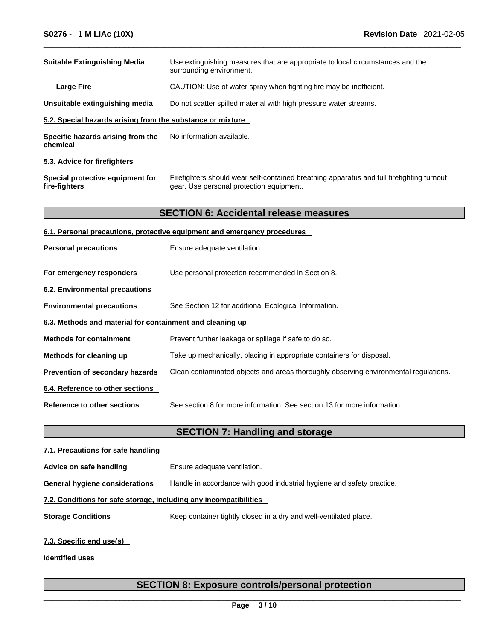| <b>Suitable Extinguishing Media</b><br>Use extinguishing measures that are appropriate to local circumstances and the<br>surrounding environment.<br>CAUTION: Use of water spray when fighting fire may be inefficient.<br><b>Large Fire</b><br>Unsuitable extinguishing media<br>Do not scatter spilled material with high pressure water streams.<br>5.2. Special hazards arising from the substance or mixture<br>No information available.<br>Specific hazards arising from the<br>chemical<br>5.3. Advice for firefighters<br>Special protective equipment for<br>Firefighters should wear self-contained breathing apparatus and full firefighting turnout<br>fire-fighters<br>gear. Use personal protection equipment.<br><b>SECTION 6: Accidental release measures</b><br>6.1. Personal precautions, protective equipment and emergency procedures<br>Ensure adequate ventilation.<br><b>Personal precautions</b><br>For emergency responders<br>Use personal protection recommended in Section 8.<br>6.2. Environmental precautions<br>See Section 12 for additional Ecological Information.<br><b>Environmental precautions</b><br>6.3. Methods and material for containment and cleaning up<br><b>Methods for containment</b><br>Prevent further leakage or spillage if safe to do so.<br>Take up mechanically, placing in appropriate containers for disposal.<br>Methods for cleaning up<br>Prevention of secondary hazards<br>Clean contaminated objects and areas thoroughly observing environmental regulations.<br>6.4. Reference to other sections<br>See section 8 for more information. See section 13 for more information.<br><b>Reference to other sections</b><br><b>SECTION 7: Handling and storage</b> |  |
|----------------------------------------------------------------------------------------------------------------------------------------------------------------------------------------------------------------------------------------------------------------------------------------------------------------------------------------------------------------------------------------------------------------------------------------------------------------------------------------------------------------------------------------------------------------------------------------------------------------------------------------------------------------------------------------------------------------------------------------------------------------------------------------------------------------------------------------------------------------------------------------------------------------------------------------------------------------------------------------------------------------------------------------------------------------------------------------------------------------------------------------------------------------------------------------------------------------------------------------------------------------------------------------------------------------------------------------------------------------------------------------------------------------------------------------------------------------------------------------------------------------------------------------------------------------------------------------------------------------------------------------------------------------------------------------------------------------------------------|--|
|                                                                                                                                                                                                                                                                                                                                                                                                                                                                                                                                                                                                                                                                                                                                                                                                                                                                                                                                                                                                                                                                                                                                                                                                                                                                                                                                                                                                                                                                                                                                                                                                                                                                                                                                  |  |
|                                                                                                                                                                                                                                                                                                                                                                                                                                                                                                                                                                                                                                                                                                                                                                                                                                                                                                                                                                                                                                                                                                                                                                                                                                                                                                                                                                                                                                                                                                                                                                                                                                                                                                                                  |  |
|                                                                                                                                                                                                                                                                                                                                                                                                                                                                                                                                                                                                                                                                                                                                                                                                                                                                                                                                                                                                                                                                                                                                                                                                                                                                                                                                                                                                                                                                                                                                                                                                                                                                                                                                  |  |
|                                                                                                                                                                                                                                                                                                                                                                                                                                                                                                                                                                                                                                                                                                                                                                                                                                                                                                                                                                                                                                                                                                                                                                                                                                                                                                                                                                                                                                                                                                                                                                                                                                                                                                                                  |  |
|                                                                                                                                                                                                                                                                                                                                                                                                                                                                                                                                                                                                                                                                                                                                                                                                                                                                                                                                                                                                                                                                                                                                                                                                                                                                                                                                                                                                                                                                                                                                                                                                                                                                                                                                  |  |
|                                                                                                                                                                                                                                                                                                                                                                                                                                                                                                                                                                                                                                                                                                                                                                                                                                                                                                                                                                                                                                                                                                                                                                                                                                                                                                                                                                                                                                                                                                                                                                                                                                                                                                                                  |  |
|                                                                                                                                                                                                                                                                                                                                                                                                                                                                                                                                                                                                                                                                                                                                                                                                                                                                                                                                                                                                                                                                                                                                                                                                                                                                                                                                                                                                                                                                                                                                                                                                                                                                                                                                  |  |
|                                                                                                                                                                                                                                                                                                                                                                                                                                                                                                                                                                                                                                                                                                                                                                                                                                                                                                                                                                                                                                                                                                                                                                                                                                                                                                                                                                                                                                                                                                                                                                                                                                                                                                                                  |  |
|                                                                                                                                                                                                                                                                                                                                                                                                                                                                                                                                                                                                                                                                                                                                                                                                                                                                                                                                                                                                                                                                                                                                                                                                                                                                                                                                                                                                                                                                                                                                                                                                                                                                                                                                  |  |
|                                                                                                                                                                                                                                                                                                                                                                                                                                                                                                                                                                                                                                                                                                                                                                                                                                                                                                                                                                                                                                                                                                                                                                                                                                                                                                                                                                                                                                                                                                                                                                                                                                                                                                                                  |  |
|                                                                                                                                                                                                                                                                                                                                                                                                                                                                                                                                                                                                                                                                                                                                                                                                                                                                                                                                                                                                                                                                                                                                                                                                                                                                                                                                                                                                                                                                                                                                                                                                                                                                                                                                  |  |
|                                                                                                                                                                                                                                                                                                                                                                                                                                                                                                                                                                                                                                                                                                                                                                                                                                                                                                                                                                                                                                                                                                                                                                                                                                                                                                                                                                                                                                                                                                                                                                                                                                                                                                                                  |  |
|                                                                                                                                                                                                                                                                                                                                                                                                                                                                                                                                                                                                                                                                                                                                                                                                                                                                                                                                                                                                                                                                                                                                                                                                                                                                                                                                                                                                                                                                                                                                                                                                                                                                                                                                  |  |
|                                                                                                                                                                                                                                                                                                                                                                                                                                                                                                                                                                                                                                                                                                                                                                                                                                                                                                                                                                                                                                                                                                                                                                                                                                                                                                                                                                                                                                                                                                                                                                                                                                                                                                                                  |  |
|                                                                                                                                                                                                                                                                                                                                                                                                                                                                                                                                                                                                                                                                                                                                                                                                                                                                                                                                                                                                                                                                                                                                                                                                                                                                                                                                                                                                                                                                                                                                                                                                                                                                                                                                  |  |
|                                                                                                                                                                                                                                                                                                                                                                                                                                                                                                                                                                                                                                                                                                                                                                                                                                                                                                                                                                                                                                                                                                                                                                                                                                                                                                                                                                                                                                                                                                                                                                                                                                                                                                                                  |  |
|                                                                                                                                                                                                                                                                                                                                                                                                                                                                                                                                                                                                                                                                                                                                                                                                                                                                                                                                                                                                                                                                                                                                                                                                                                                                                                                                                                                                                                                                                                                                                                                                                                                                                                                                  |  |
|                                                                                                                                                                                                                                                                                                                                                                                                                                                                                                                                                                                                                                                                                                                                                                                                                                                                                                                                                                                                                                                                                                                                                                                                                                                                                                                                                                                                                                                                                                                                                                                                                                                                                                                                  |  |
|                                                                                                                                                                                                                                                                                                                                                                                                                                                                                                                                                                                                                                                                                                                                                                                                                                                                                                                                                                                                                                                                                                                                                                                                                                                                                                                                                                                                                                                                                                                                                                                                                                                                                                                                  |  |
|                                                                                                                                                                                                                                                                                                                                                                                                                                                                                                                                                                                                                                                                                                                                                                                                                                                                                                                                                                                                                                                                                                                                                                                                                                                                                                                                                                                                                                                                                                                                                                                                                                                                                                                                  |  |
|                                                                                                                                                                                                                                                                                                                                                                                                                                                                                                                                                                                                                                                                                                                                                                                                                                                                                                                                                                                                                                                                                                                                                                                                                                                                                                                                                                                                                                                                                                                                                                                                                                                                                                                                  |  |
|                                                                                                                                                                                                                                                                                                                                                                                                                                                                                                                                                                                                                                                                                                                                                                                                                                                                                                                                                                                                                                                                                                                                                                                                                                                                                                                                                                                                                                                                                                                                                                                                                                                                                                                                  |  |
|                                                                                                                                                                                                                                                                                                                                                                                                                                                                                                                                                                                                                                                                                                                                                                                                                                                                                                                                                                                                                                                                                                                                                                                                                                                                                                                                                                                                                                                                                                                                                                                                                                                                                                                                  |  |

**Advice on safe handling** Ensure adequate ventilation. **General hygiene considerations** Handle in accordance with good industrial hygiene and safety practice. **7.2. Conditions for safe storage, including any incompatibilities Storage Conditions** Keep container tightly closed in a dry and well-ventilated place.

# **7.3. Specific end use(s)**

**Identified uses**

# **SECTION 8: Exposure controls/personal protection**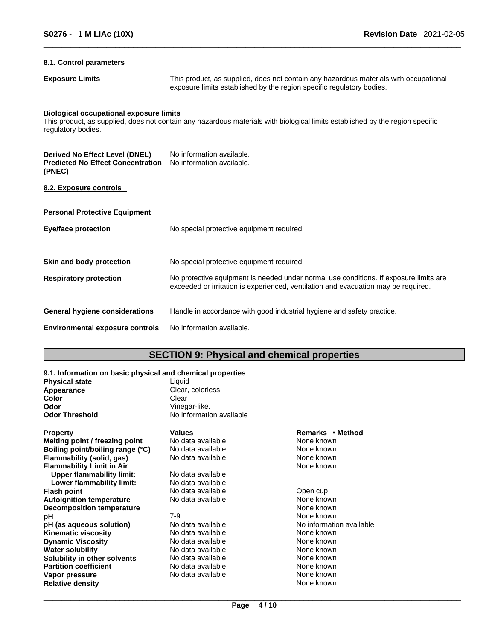# **8.1. Control parameters**

**Exposure Limits** This product, as supplied, does not contain any hazardous materials with occupational exposure limits established by the region specific regulatory bodies.

### **Biological occupational exposure limits**

This product, as supplied, does not contain any hazardous materials with biological limits established by the region specific regulatory bodies.

| Derived No Effect Level (DNEL)<br><b>Predicted No Effect Concentration</b><br>(PNEC) | No information available.<br>No information available.                                                                                                                      |
|--------------------------------------------------------------------------------------|-----------------------------------------------------------------------------------------------------------------------------------------------------------------------------|
| 8.2. Exposure controls                                                               |                                                                                                                                                                             |
| <b>Personal Protective Equipment</b>                                                 |                                                                                                                                                                             |
| Eye/face protection                                                                  | No special protective equipment required.                                                                                                                                   |
| Skin and body protection                                                             | No special protective equipment required.                                                                                                                                   |
| <b>Respiratory protection</b>                                                        | No protective equipment is needed under normal use conditions. If exposure limits are<br>exceeded or irritation is experienced, ventilation and evacuation may be required. |
| <b>General hygiene considerations</b>                                                | Handle in accordance with good industrial hygiene and safety practice.                                                                                                      |
| <b>Environmental exposure controls</b>                                               | No information available.                                                                                                                                                   |

# **SECTION 9: Physical and chemical properties**

# **9.1. Information on basic physical and chemical properties**

|                       | 3.1. milomation on basic physical and chemical properties |
|-----------------------|-----------------------------------------------------------|
| <b>Physical state</b> | Liauid                                                    |
| Appearance            | Clear, colorless                                          |
| Color                 | Clear                                                     |
| Odor                  | Vinegar-like.                                             |
| <b>Odor Threshold</b> | No information available                                  |
|                       |                                                           |
|                       |                                                           |

**Melting point / freezing point** No data available None known<br> **Boiling point/boiling range (°C)** No data available None known **Boiling point/boiling range (°C)** No data available None known<br> **Flammability (solid. qas)** No data available None known **Flammability (solid, gas)** No data available None known<br> **Flammability Limit in Air** None known **Flammability Limit in Air Upper flammability limit:** No data available **Lower flammability limit:** No data available **Flash point**<br> **Autoignition temperature No data available No data available No data available No data available No data available No data available No data available No data available N Autoignition temperature Decomposition temperature** None known None known **pH** *7-9* 7-9 None known **pH** (as aqueous solution) and a No data available and the No information available No information available Kinematic viscosity **Kinematic viscosity**<br> **Communical Communist Communist Communist Communist Communist Communist Communist Communist Communist Communist Communist Communist Communist Communist Communist Communist Communist Communist Communi Dynamic Viscosity Water solubility No data available** None known **Solubility in other solvents** No data available **None known**<br> **Partition coefficient** No data available **None known**<br>
None known **Partition coefficient**<br> **Vapor pressure**<br>
Vapor pressure<br>
No data available<br>
None known **Vapor pressure No data available** Mone known<br> **Relative density None known**<br>
None known **Relative density** 

### **Property Remarks • Property** *Remarks* • **Method**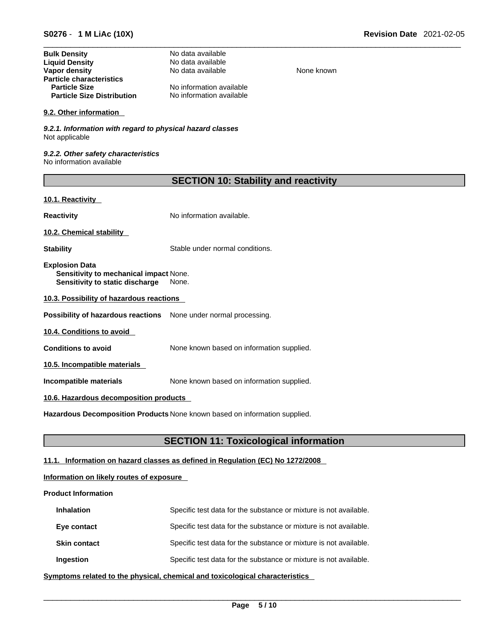| <b>Bulk Density</b>               | No data available        |
|-----------------------------------|--------------------------|
| <b>Liquid Density</b>             | No data available        |
| Vapor density                     | No data available        |
| <b>Particle characteristics</b>   |                          |
| <b>Particle Size</b>              | No information available |
| <b>Particle Size Distribution</b> | No information available |

# **9.2. Other information**

*9.2.1. Information with regard to physical hazard classes* Not applicable

*9.2.2. Other safety characteristics* No information available

| <b>SECTION 10: Stability and reactivity</b> |  |
|---------------------------------------------|--|
|---------------------------------------------|--|

**None known** 

# **10.1. Reactivity**

**Reactivity No information available.** 

**10.2. Chemical stability** 

**Stability** Stable under normal conditions.

**Explosion Data Sensitivity to mechanical impact** None. **Sensitivity to static discharge** None.

**10.3. Possibility of hazardous reactions**

**Possibility of hazardous reactions** None under normal processing.

**10.4. Conditions to avoid** 

**Conditions to avoid** None known based on information supplied.

**10.5. Incompatible materials**

**Incompatible materials** None known based on information supplied.

# **10.6. Hazardous decomposition products**

**Hazardous Decomposition Products** None known based on information supplied.

# **SECTION 11: Toxicological information**

# **11.1. Information on hazard classes as defined in Regulation (EC) No 1272/2008**

# **Information on likely routes of exposure**

# **Product Information**

| <b>Inhalation</b>   | Specific test data for the substance or mixture is not available. |
|---------------------|-------------------------------------------------------------------|
| Eye contact         | Specific test data for the substance or mixture is not available. |
| <b>Skin contact</b> | Specific test data for the substance or mixture is not available. |
| Ingestion           | Specific test data for the substance or mixture is not available. |

**<u>Symptoms related to the physical, chemical and toxicological characteristics</u>**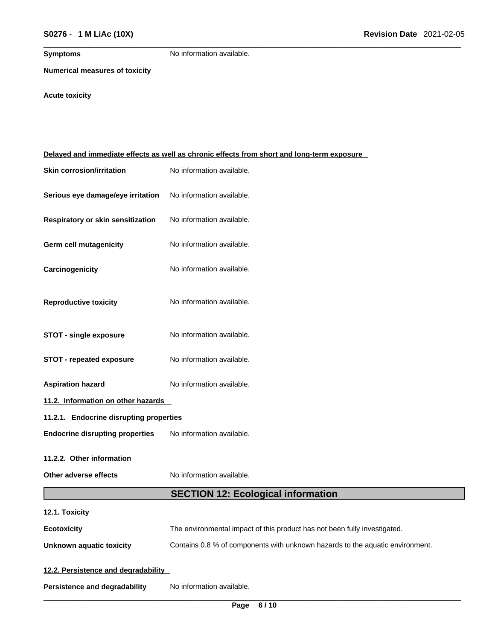**Symptoms** No information available.

**Numerical measures of toxicity**

**Acute toxicity** 

| Delayed and immediate effects as well as chronic effects from short and long-term exposure |                                                                               |  |
|--------------------------------------------------------------------------------------------|-------------------------------------------------------------------------------|--|
| <b>Skin corrosion/irritation</b>                                                           | No information available.                                                     |  |
| Serious eye damage/eye irritation                                                          | No information available.                                                     |  |
| Respiratory or skin sensitization                                                          | No information available.                                                     |  |
| <b>Germ cell mutagenicity</b>                                                              | No information available.                                                     |  |
| Carcinogenicity                                                                            | No information available.                                                     |  |
| <b>Reproductive toxicity</b>                                                               | No information available.                                                     |  |
| <b>STOT - single exposure</b>                                                              | No information available.                                                     |  |
| <b>STOT - repeated exposure</b>                                                            | No information available.                                                     |  |
| <b>Aspiration hazard</b>                                                                   | No information available.                                                     |  |
| 11.2. Information on other hazards                                                         |                                                                               |  |
| 11.2.1. Endocrine disrupting properties                                                    |                                                                               |  |
| <b>Endocrine disrupting properties</b>                                                     | No information available.                                                     |  |
| 11.2.2. Other information                                                                  |                                                                               |  |
| Other adverse effects                                                                      | No information available.                                                     |  |
|                                                                                            | <b>SECTION 12: Ecological information</b>                                     |  |
| 12.1. Toxicity                                                                             |                                                                               |  |
| <b>Ecotoxicity</b>                                                                         | The environmental impact of this product has not been fully investigated.     |  |
| <b>Unknown aquatic toxicity</b>                                                            | Contains 0.8 % of components with unknown hazards to the aquatic environment. |  |
| 12.2. Persistence and degradability                                                        |                                                                               |  |
| <b>Persistence and degradability</b>                                                       | No information available.                                                     |  |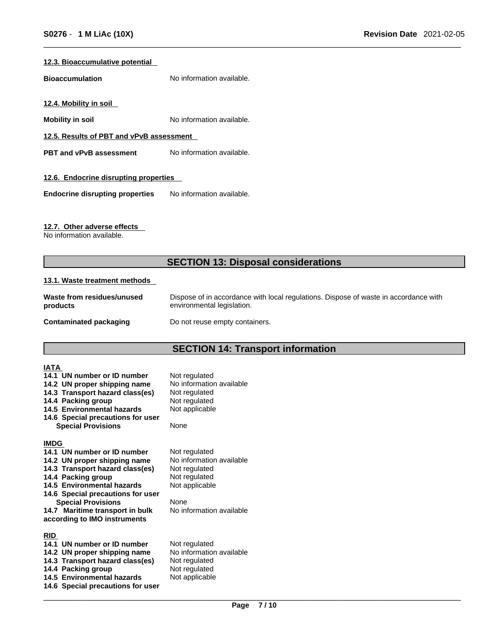# **12.3. Bioaccumulative potential**

**Bioaccumulation** No information available.

**12.4. Mobility in soil** 

**Mobility in soil** No information available.

**12.5. Results of PBT and vPvB assessment**

**PBT** and **vPvB** assessment No information available.

# **12.6. Endocrine disrupting properties**

**Endocrine disrupting properties** No information available.

# **12.7. Other adverse effects**

No information available.

# **SECTION 13: Disposal considerations**

# **13.1. Waste treatment methods**

| Waste from residues/unused | Dispose of in accordance with local regulations. Dispose of waste in accordance with |
|----------------------------|--------------------------------------------------------------------------------------|
| products                   | environmental legislation.                                                           |
| Contaminated packaging     | Do not reuse empty containers.                                                       |

# **SECTION 14: Transport information**

| <b>IATA</b> | 14.1 UN number or ID number                                     | Not regulated<br>No information available |
|-------------|-----------------------------------------------------------------|-------------------------------------------|
|             | 14.2 UN proper shipping name<br>14.3 Transport hazard class(es) | Not regulated                             |
|             | 14.4 Packing group<br>14.5 Environmental hazards                | Not regulated                             |
|             | 14.6 Special precautions for user                               | Not applicable                            |
|             | <b>Special Provisions</b>                                       | None                                      |
| <b>IMDG</b> |                                                                 |                                           |
|             | 14.1 UN number or ID number                                     | Not regulated<br>No information available |
|             | 14.2 UN proper shipping name<br>14.3 Transport hazard class(es) | Not regulated                             |
|             | 14.4 Packing group                                              | Not regulated                             |
|             | 14.5 Environmental hazards                                      | Not applicable                            |
|             | 14.6 Special precautions for user<br><b>Special Provisions</b>  | None                                      |
|             | 14.7 Maritime transport in bulk                                 | No information available                  |
|             | according to IMO instruments                                    |                                           |
| <b>RID</b>  |                                                                 |                                           |
|             | 14.1 UN number or ID number                                     | Not regulated<br>No information available |
|             | 14.2 UN proper shipping name<br>14.3 Transport hazard class(es) | Not regulated                             |
|             | 14.4 Packing group                                              | Not regulated                             |
|             | 14.5 Environmental hazards                                      | Not applicable                            |
|             | 14.6 Special precautions for user                               |                                           |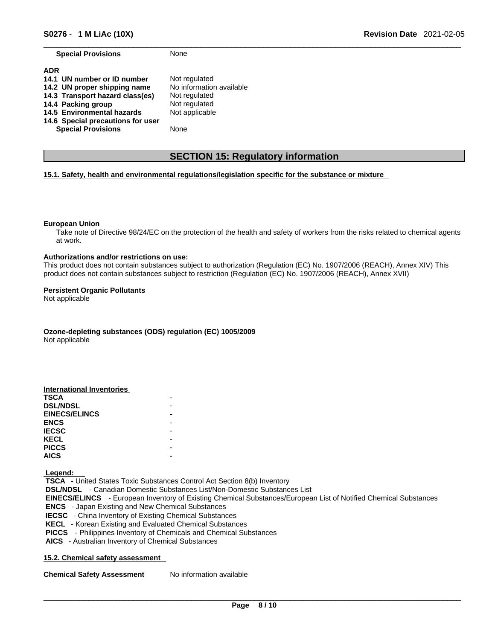**Special Provisions** None

| Not regulated            |
|--------------------------|
| No information available |
| Not regulated            |
| Not regulated            |
| Not applicable           |
|                          |
| None                     |
|                          |

# **SECTION 15: Regulatory information**

# **15.1. Safety, health and environmental regulations/legislation specific for the substance or mixture**

### **European Union**

Take note of Directive 98/24/EC on the protection of the health and safety of workers from the risks related to chemical agents at work.

### **Authorizations and/or restrictions on use:**

This product does not contain substances subject to authorization (Regulation (EC) No. 1907/2006 (REACH), Annex XIV) This product does not contain substances subject to restriction (Regulation (EC) No. 1907/2006 (REACH), Annex XVII)

### **Persistent Organic Pollutants**

Not applicable

**Ozone-depleting substances (ODS) regulation (EC) 1005/2009**

Not applicable

| <b>International Inventories</b> |  |
|----------------------------------|--|
| <b>TSCA</b>                      |  |
| <b>DSL/NDSL</b>                  |  |
| <b>EINECS/ELINCS</b>             |  |
| <b>ENCS</b>                      |  |
| <b>IECSC</b>                     |  |
| <b>KECL</b>                      |  |
| <b>PICCS</b>                     |  |
| <b>AICS</b>                      |  |

 **Legend:** 

 **TSCA** - United States Toxic Substances Control Act Section 8(b) Inventory  **DSL/NDSL** - Canadian Domestic Substances List/Non-Domestic Substances List  **EINECS/ELINCS** - European Inventory of Existing Chemical Substances/European List of Notified Chemical Substances  **ENCS** - Japan Existing and New Chemical Substances  **IECSC** - China Inventory of Existing Chemical Substances  **KECL** - Korean Existing and Evaluated Chemical Substances  **PICCS** - Philippines Inventory of Chemicals and Chemical Substances  **AICS** - Australian Inventory of Chemical Substances

# **15.2. Chemical safety assessment**

**Chemical Safety Assessment** No information available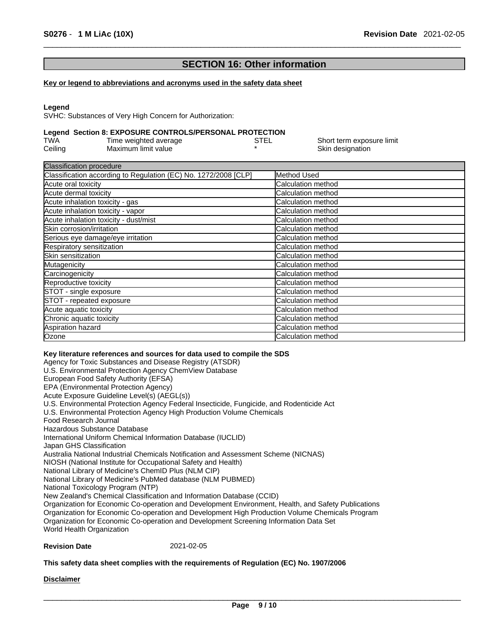# **SECTION 16: Other information**

### **Key or legend to abbreviations and acronyms used in the safety data sheet**

### **Legend**

SVHC: Substances of Very High Concern for Authorization:

# **Legend Section 8: EXPOSURE CONTROLS/PERSONAL PROTECTION**

| TWA     | Time weighted average | STEL | Short term exposure limit |
|---------|-----------------------|------|---------------------------|
| Ceiling | Maximum limit value   |      | Skin designation          |

| <b>Classification procedure</b>                                 |                            |
|-----------------------------------------------------------------|----------------------------|
| Classification according to Regulation (EC) No. 1272/2008 [CLP] | Method Used                |
| Acute oral toxicity                                             | Calculation method         |
| Acute dermal toxicity                                           | Calculation method         |
| Acute inhalation toxicity - gas                                 | <b>Calculation method</b>  |
| Acute inhalation toxicity - vapor                               | Calculation method         |
| Acute inhalation toxicity - dust/mist                           | <b>Calculation method</b>  |
| Skin corrosion/irritation                                       | Calculation method         |
| Serious eye damage/eye irritation                               | <b>Calculation method</b>  |
| Respiratory sensitization                                       | Calculation method         |
| <b>ISkin sensitization</b>                                      | Calculation method         |
| Mutagenicity                                                    | Calculation method         |
| Carcinogenicity                                                 | <b>Calculation method</b>  |
| Reproductive toxicity                                           | <b>Calculation method</b>  |
| STOT - single exposure                                          | <b>ICalculation method</b> |
| STOT - repeated exposure                                        | Calculation method         |
| Acute aquatic toxicity                                          | Calculation method         |
| Chronic aquatic toxicity                                        | Calculation method         |
| Aspiration hazard                                               | <b>ICalculation method</b> |
| Ozone                                                           | Calculation method         |

### **Key literature references and sources for data used to compile the SDS**

Agency for Toxic Substances and Disease Registry (ATSDR) U.S. Environmental Protection Agency ChemView Database European Food Safety Authority (EFSA) EPA (Environmental Protection Agency) Acute Exposure Guideline Level(s) (AEGL(s)) U.S. Environmental Protection Agency Federal Insecticide, Fungicide, and Rodenticide Act U.S. Environmental Protection Agency High Production Volume Chemicals Food Research Journal Hazardous Substance Database International Uniform Chemical Information Database (IUCLID) Japan GHS Classification Australia National Industrial Chemicals Notification and Assessment Scheme (NICNAS) NIOSH (National Institute for Occupational Safety and Health) National Library of Medicine's ChemID Plus (NLM CIP) National Library of Medicine's PubMed database (NLM PUBMED) National Toxicology Program (NTP) New Zealand's Chemical Classification and Information Database (CCID) Organization for Economic Co-operation and Development Environment, Health, and Safety Publications Organization for Economic Co-operation and Development High Production Volume Chemicals Program Organization for Economic Co-operation and Development Screening Information Data Set World Health Organization

### **Revision Date** 2021-02-05

### **This safety data sheet complies with the requirements of Regulation (EC) No. 1907/2006**

### **Disclaimer**